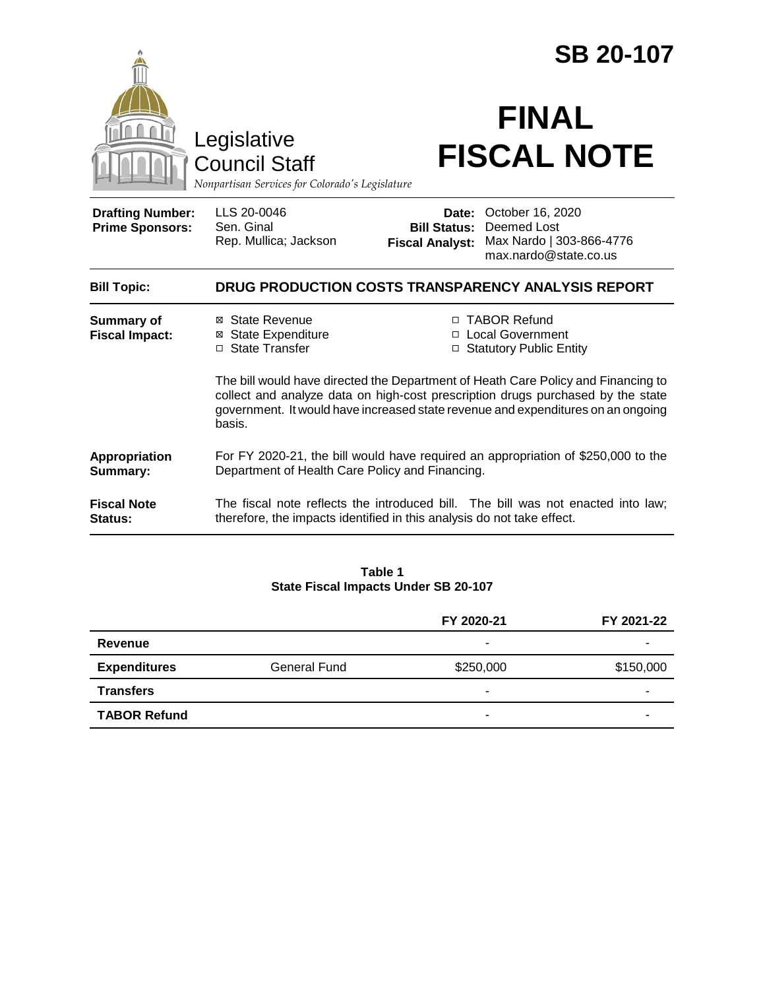|                                                                                        |                                                                                                                                                                                                                                                                    | <b>SB 20-107</b>                                       |                                                                                      |  |
|----------------------------------------------------------------------------------------|--------------------------------------------------------------------------------------------------------------------------------------------------------------------------------------------------------------------------------------------------------------------|--------------------------------------------------------|--------------------------------------------------------------------------------------|--|
| Legislative<br><b>Council Staff</b><br>Nonpartisan Services for Colorado's Legislature |                                                                                                                                                                                                                                                                    | <b>FINAL</b><br><b>FISCAL NOTE</b>                     |                                                                                      |  |
| <b>Drafting Number:</b><br><b>Prime Sponsors:</b>                                      | LLS 20-0046<br>Sen. Ginal<br>Rep. Mullica; Jackson                                                                                                                                                                                                                 | Date:<br><b>Bill Status:</b><br><b>Fiscal Analyst:</b> | October 16, 2020<br>Deemed Lost<br>Max Nardo   303-866-4776<br>max.nardo@state.co.us |  |
| <b>Bill Topic:</b>                                                                     | DRUG PRODUCTION COSTS TRANSPARENCY ANALYSIS REPORT                                                                                                                                                                                                                 |                                                        |                                                                                      |  |
| <b>Summary of</b><br><b>Fiscal Impact:</b>                                             | ⊠ State Revenue<br>⊠ State Expenditure<br>□ State Transfer                                                                                                                                                                                                         |                                                        | □ TABOR Refund<br>□ Local Government<br>□ Statutory Public Entity                    |  |
|                                                                                        | The bill would have directed the Department of Heath Care Policy and Financing to<br>collect and analyze data on high-cost prescription drugs purchased by the state<br>government. It would have increased state revenue and expenditures on an ongoing<br>basis. |                                                        |                                                                                      |  |
| Appropriation<br>Summary:                                                              | For FY 2020-21, the bill would have required an appropriation of \$250,000 to the<br>Department of Health Care Policy and Financing.                                                                                                                               |                                                        |                                                                                      |  |
| <b>Fiscal Note</b><br>Status:                                                          | The fiscal note reflects the introduced bill. The bill was not enacted into law;<br>therefore, the impacts identified in this analysis do not take effect.                                                                                                         |                                                        |                                                                                      |  |

**Table 1 State Fiscal Impacts Under SB 20-107**

|                     |                     | FY 2020-21               | FY 2021-22 |
|---------------------|---------------------|--------------------------|------------|
| Revenue             |                     | ۰                        |            |
| <b>Expenditures</b> | <b>General Fund</b> | \$250,000                | \$150,000  |
| <b>Transfers</b>    |                     | $\overline{\phantom{a}}$ |            |
| <b>TABOR Refund</b> |                     | $\overline{\phantom{a}}$ |            |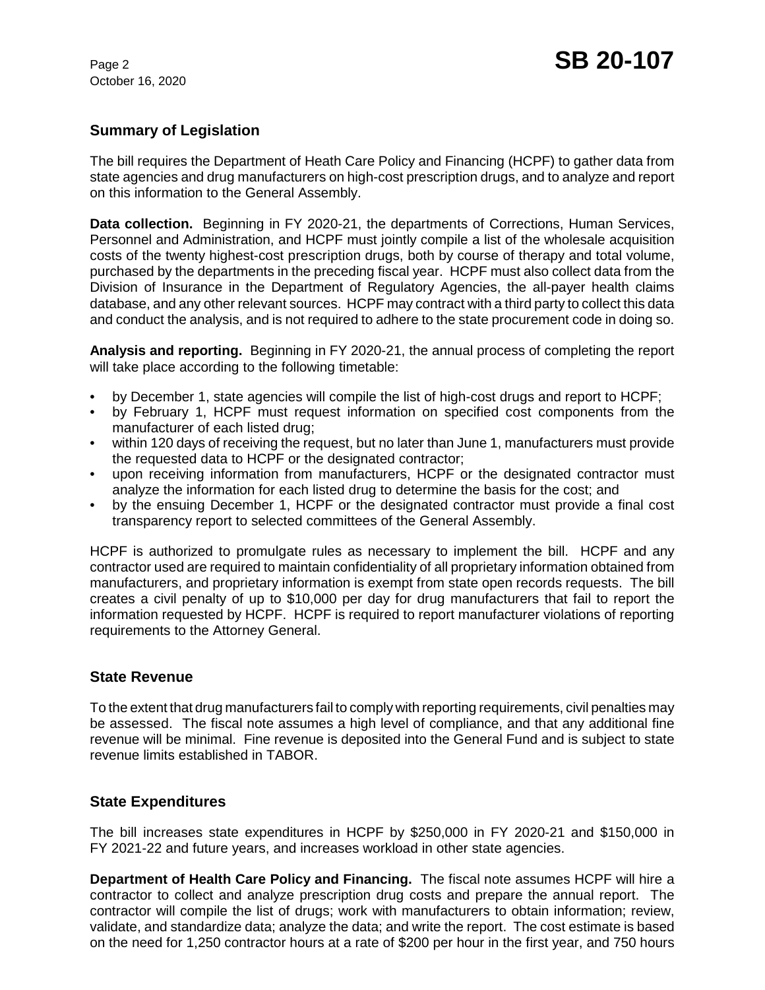October 16, 2020

# **Summary of Legislation**

The bill requires the Department of Heath Care Policy and Financing (HCPF) to gather data from state agencies and drug manufacturers on high-cost prescription drugs, and to analyze and report on this information to the General Assembly.

**Data collection.** Beginning in FY 2020-21, the departments of Corrections, Human Services, Personnel and Administration, and HCPF must jointly compile a list of the wholesale acquisition costs of the twenty highest-cost prescription drugs, both by course of therapy and total volume, purchased by the departments in the preceding fiscal year. HCPF must also collect data from the Division of Insurance in the Department of Regulatory Agencies, the all-payer health claims database, and any other relevant sources. HCPF may contract with a third party to collect this data and conduct the analysis, and is not required to adhere to the state procurement code in doing so.

**Analysis and reporting.** Beginning in FY 2020-21, the annual process of completing the report will take place according to the following timetable:

- by December 1, state agencies will compile the list of high-cost drugs and report to HCPF;
- by February 1, HCPF must request information on specified cost components from the manufacturer of each listed drug;
- within 120 days of receiving the request, but no later than June 1, manufacturers must provide the requested data to HCPF or the designated contractor;
- upon receiving information from manufacturers, HCPF or the designated contractor must analyze the information for each listed drug to determine the basis for the cost; and
- by the ensuing December 1, HCPF or the designated contractor must provide a final cost transparency report to selected committees of the General Assembly.

HCPF is authorized to promulgate rules as necessary to implement the bill. HCPF and any contractor used are required to maintain confidentiality of all proprietary information obtained from manufacturers, and proprietary information is exempt from state open records requests. The bill creates a civil penalty of up to \$10,000 per day for drug manufacturers that fail to report the information requested by HCPF. HCPF is required to report manufacturer violations of reporting requirements to the Attorney General.

## **State Revenue**

To the extent that drug manufacturers fail to comply with reporting requirements, civil penalties may be assessed. The fiscal note assumes a high level of compliance, and that any additional fine revenue will be minimal. Fine revenue is deposited into the General Fund and is subject to state revenue limits established in TABOR.

## **State Expenditures**

The bill increases state expenditures in HCPF by \$250,000 in FY 2020-21 and \$150,000 in FY 2021-22 and future years, and increases workload in other state agencies.

**Department of Health Care Policy and Financing.** The fiscal note assumes HCPF will hire a contractor to collect and analyze prescription drug costs and prepare the annual report. The contractor will compile the list of drugs; work with manufacturers to obtain information; review, validate, and standardize data; analyze the data; and write the report. The cost estimate is based on the need for 1,250 contractor hours at a rate of \$200 per hour in the first year, and 750 hours